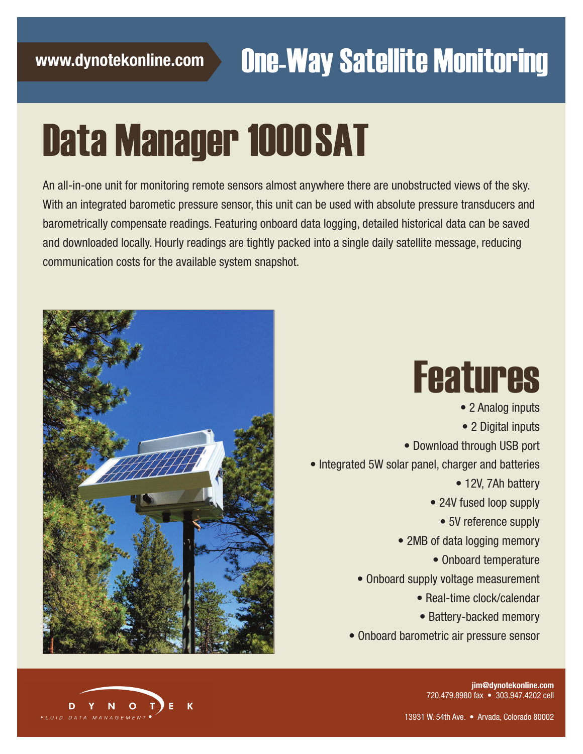# Data Manager 1000 SAT

An all-in-one unit for monitoring remote sensors almost anywhere there are unobstructed views of the sky. With an integrated barometic pressure sensor, this unit can be used with absolute pressure transducers and barometrically compensate readings. Featuring onboard data logging, detailed historical data can be saved and downloaded locally. Hourly readings are tightly packed into a single daily satellite message, reducing communication costs for the available system snapshot.



# Features

• 2 Analog inputs • 2 Digital inputs • Download through USB port • Integrated 5W solar panel, charger and batteries • 12V, 7Ah battery • 24V fused loop supply • 5V reference supply • 2MB of data logging memory • Onboard temperature • Onboard supply voltage measurement • Real-time clock/calendar • Battery-backed memory • Onboard barometric air pressure sensor



**jim@dynotekonline.com** 720.479.8980 fax • 303.947.4202 cell